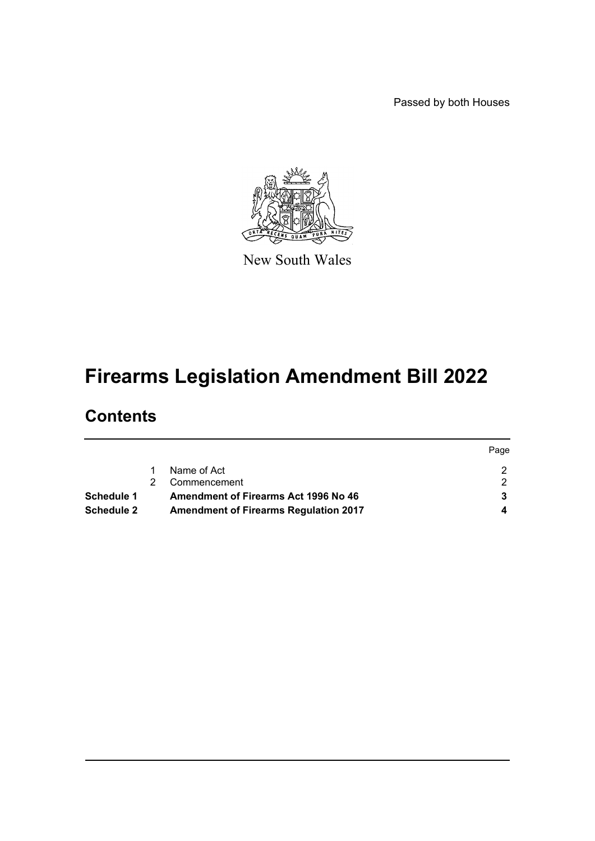Passed by both Houses



New South Wales

# **Firearms Legislation Amendment Bill 2022**

## **Contents**

|                   |                                              | Page |
|-------------------|----------------------------------------------|------|
|                   | Name of Act                                  |      |
|                   | Commencement                                 |      |
| Schedule 1        | <b>Amendment of Firearms Act 1996 No 46</b>  |      |
| <b>Schedule 2</b> | <b>Amendment of Firearms Regulation 2017</b> |      |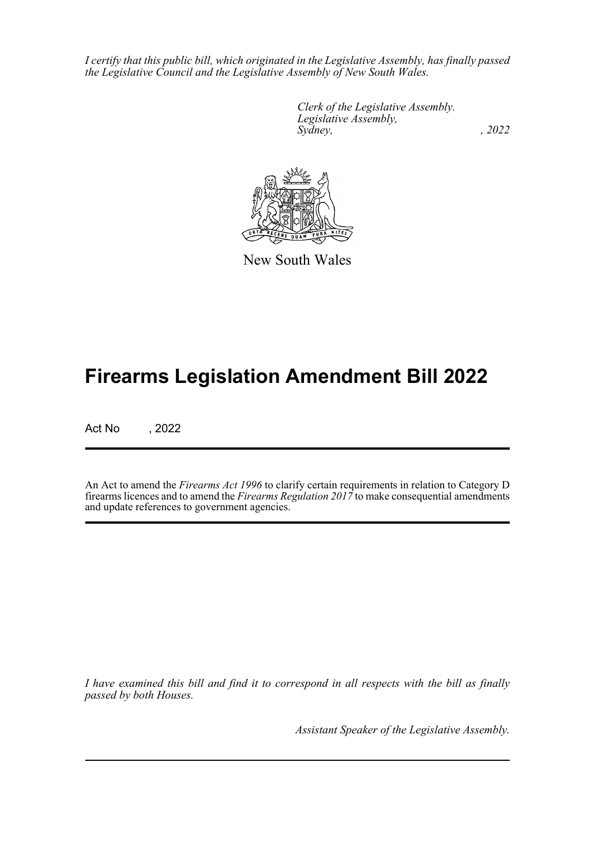*I certify that this public bill, which originated in the Legislative Assembly, has finally passed the Legislative Council and the Legislative Assembly of New South Wales.*

> *Clerk of the Legislative Assembly. Legislative Assembly, Sydney, , 2022*



New South Wales

## **Firearms Legislation Amendment Bill 2022**

Act No , 2022

An Act to amend the *Firearms Act 1996* to clarify certain requirements in relation to Category D firearms licences and to amend the *Firearms Regulation 2017* to make consequential amendments and update references to government agencies.

*I have examined this bill and find it to correspond in all respects with the bill as finally passed by both Houses.*

*Assistant Speaker of the Legislative Assembly.*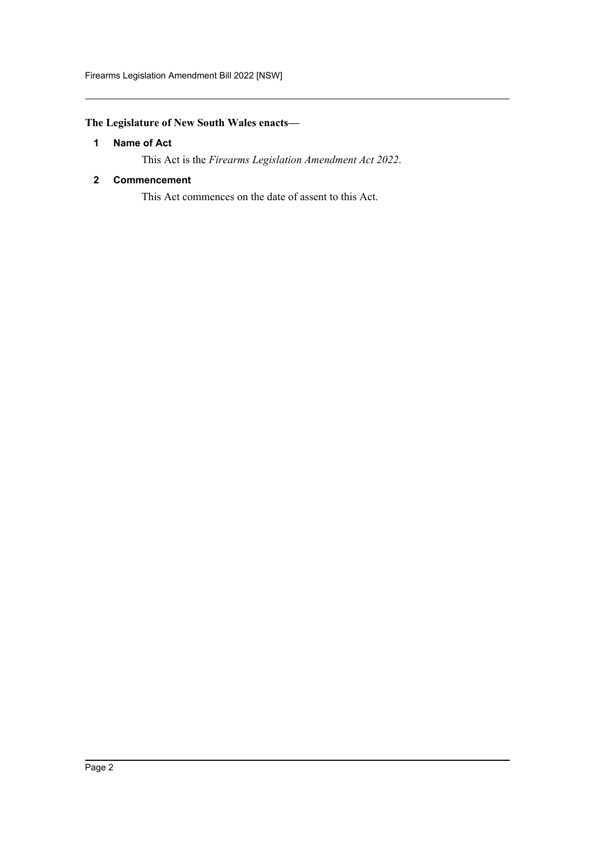#### <span id="page-2-0"></span>**The Legislature of New South Wales enacts—**

#### **1 Name of Act**

This Act is the *Firearms Legislation Amendment Act 2022*.

#### <span id="page-2-1"></span>**2 Commencement**

This Act commences on the date of assent to this Act.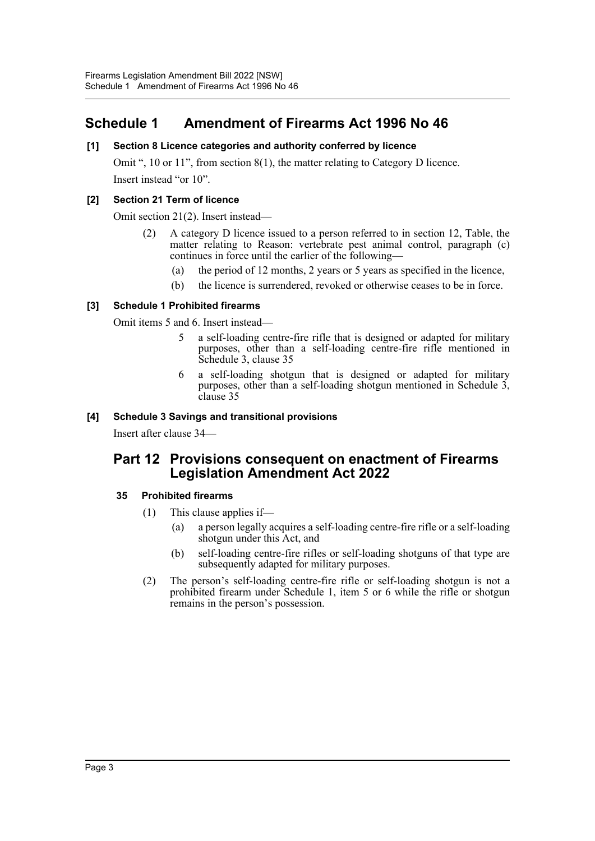### <span id="page-3-0"></span>**Schedule 1 Amendment of Firearms Act 1996 No 46**

#### **[1] Section 8 Licence categories and authority conferred by licence**

Omit ", 10 or 11", from section 8(1), the matter relating to Category D licence. Insert instead "or 10".

#### **[2] Section 21 Term of licence**

Omit section 21(2). Insert instead—

- (2) A category D licence issued to a person referred to in section 12, Table, the matter relating to Reason: vertebrate pest animal control, paragraph (c) continues in force until the earlier of the following—
	- (a) the period of 12 months, 2 years or 5 years as specified in the licence,
	- (b) the licence is surrendered, revoked or otherwise ceases to be in force.

#### **[3] Schedule 1 Prohibited firearms**

Omit items 5 and 6. Insert instead—

- 5 a self-loading centre-fire rifle that is designed or adapted for military purposes, other than a self-loading centre-fire rifle mentioned in Schedule 3, clause 35
- 6 a self-loading shotgun that is designed or adapted for military purposes, other than a self-loading shotgun mentioned in Schedule 3, clause 35

#### **[4] Schedule 3 Savings and transitional provisions**

Insert after clause 34—

### **Part 12 Provisions consequent on enactment of Firearms Legislation Amendment Act 2022**

#### **35 Prohibited firearms**

- (1) This clause applies if—
	- (a) a person legally acquires a self-loading centre-fire rifle or a self-loading shotgun under this Act, and
	- (b) self-loading centre-fire rifles or self-loading shotguns of that type are subsequently adapted for military purposes.
- (2) The person's self-loading centre-fire rifle or self-loading shotgun is not a prohibited firearm under Schedule 1, item 5 or 6 while the rifle or shotgun remains in the person's possession.